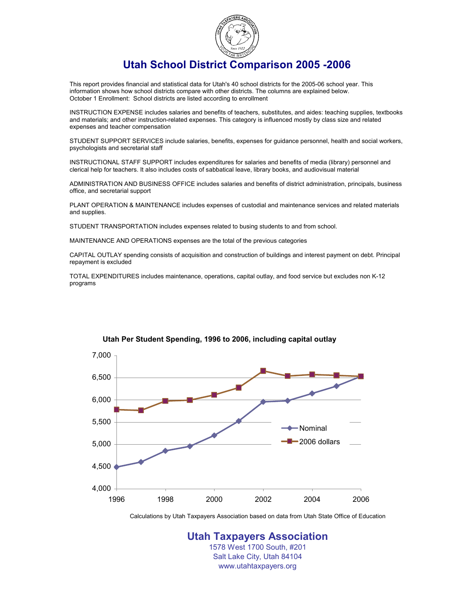

## **Utah School District Comparison 2005 -2006**

This report provides financial and statistical data for Utah's 40 school districts for the 2005-06 school year. This information shows how school districts compare with other districts. The columns are explained below. October 1 Enrollment: School districts are listed according to enrollment

INSTRUCTION EXPENSE includes salaries and benefits of teachers, substitutes, and aides: teaching supplies, textbooks and materials; and other instruction-related expenses. This category is influenced mostly by class size and related expenses and teacher compensation

STUDENT SUPPORT SERVICES include salaries, benefits, expenses for guidance personnel, health and social workers, psychologists and secretarial staff

INSTRUCTIONAL STAFF SUPPORT includes expenditures for salaries and benefits of media (library) personnel and clerical help for teachers. It also includes costs of sabbatical leave, library books, and audiovisual material

ADMINISTRATION AND BUSINESS OFFICE includes salaries and benefits of district administration, principals, business office, and secretarial support

PLANT OPERATION & MAINTENANCE includes expenses of custodial and maintenance services and related materials and supplies.

STUDENT TRANSPORTATION includes expenses related to busing students to and from school.

MAINTENANCE AND OPERATIONS expenses are the total of the previous categories

CAPITAL OUTLAY spending consists of acquisition and construction of buildings and interest payment on debt. Principal repayment is excluded

TOTAL EXPENDITURES includes maintenance, operations, capital outlay, and food service but excludes non K-12 programs



#### **Utah Per Student Spending, 1996 to 2006, including capital outlay**

Calculations by Utah Taxpayers Association based on data from Utah State Office of Education

**Utah Taxpayers Association** 1578 West 1700 South, #201 Salt Lake City, Utah 84104 www.utahtaxpayers.org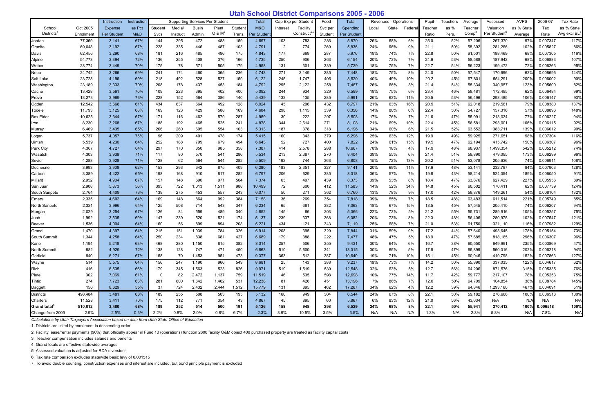# **Utah School District Comparisons 2005 - 2006**

|                          |            | Instruction | Instruction    | <b>Supporting Services Per Student</b> |          | Total        |             | Cap Exp per Student | Food        | Total    |           | Revenues - Operations |             | Pupil- | Teachers | Average | Assessed | <b>AVPS</b> | 2006-07           | Tax Rate                 |                  |          |             |
|--------------------------|------------|-------------|----------------|----------------------------------------|----------|--------------|-------------|---------------------|-------------|----------|-----------|-----------------------|-------------|--------|----------|---------|----------|-------------|-------------------|--------------------------|------------------|----------|-------------|
| School                   | Oct 2005   | Expense     | as Pct         | Student                                | Media/   | <b>Busin</b> | Plant       | Student             | M&O         | Interest | Facility  | Svc per               | Spending    | Local  | State    | Federal | Teacher  | as %        | Teacher           | Valuation                | as % State       | Tax      | as % State  |
| <b>Districts</b>         | Enrollment | Per Student | <b>M&amp;O</b> | Svcs                                   | Instruct | Admin        | $O$ & $M^2$ | Trans.              | Per Student |          | Construct | Student               | Per Student |        |          |         | Ratio    | Pers.       | Comp <sup>3</sup> | Per Student <sup>5</sup> | Average          | Rate     | Avg excl BL |
| Jordan                   | 77,369     | 3,141       | 67%            | 144                                    | 295      | 472          | 488         | 159                 | 4,697       | 103      | 783       | 286                   | 5,870       | 26%    | 68%      | 6%      | 25.0     | 52%         | 57,206            | 267,370                  | 97%              | 0.007347 | 117%        |
| Granite                  | 69,048     | 3,192       | 67%            | 228                                    | 335      | 446          | 487         | 103                 | 4,791       | 2        | 774       | 269                   | 5,836       | 24%    | 66%      | 9%      | 21.1     | 50%         | 58,392            | 281,266                  | 102%             | 0.005827 | 86%         |
| Davis                    | 62,456     | 3,290       | 68%            | 181                                    | 216      | 485          | 496         | 175                 | 4,843       | 177      | 669       | 287                   | 5,976       | 19%    | 74%      | 7%      | 22.8     | 50%         | 61,501            | 188,469                  | 68°              | 0.007305 | 116%        |
| Alpine                   | 54,773     | 3,394       | 72%            | 136                                    | 255      | 408          | 376         | 166                 | 4,735       | 250      | 906       | 263                   | 6,154       | 20%    | 73%      | 7%      | 24.6     | 53%         | 58,588            | 187,942                  | 68°,             | 0.006883 | 107%        |
| Weber                    | 28,774     | 3,449       | 70%            | 175                                    | 78       | 571          | 505         | 179                 | 4,958       | 131      | 301       | 339                   | 5,729       | 18%    | 75%      | 7%      | 22.7     | 54%         | 56,223            | 199,472                  | 72%              | 0.006263 | 95%         |
| Nebo                     | 24,742     | 3,266       | 69%            | 241                                    | 174      | 460          | 365         | 236                 | 4,743       | 271      | 2,149     | 285                   | 7,448       | 18%    | 75%      | 8%      | 24.0     | 50%         | 57,547            | 170,696                  | 62%              | 0.008696 | 144%        |
| Salt Lake                | 23,728     | 4,196       | 69%            | 218                                    | 492      | 528          | 527         | 159                 | 6,122       | 245      | 1,747     | 406                   | 8,520       | 40%    | 49%      | 10%     | 20.2     | 45%         | 67,801            | 554,291                  | 200 <sup>0</sup> | 0.006002 | 90%         |
| Washington               | 23,189     | 3,333       | 70%            | 208                                    | 178      | 437          | 453         | 184                 | 4,792       | 295      | 2,122     | 258                   | 7,467       | 26%    | 66%      | 8%      | 21.4     | 54%         | 55,334            | 340,957                  | 123 <sup>0</sup> | 0.005600 | 82%         |
| Cache                    | 13,428     | 3,561       | 70%            | 109                                    | 223      | 395          | 402         | 400                 | 5,092       | 244      | 934       | 329                   | 6,599       | 19%    | 75%      | 6%      | 23.4     | 46%         | 58,481            | 172,495                  | 62°              | 0.006484 | 99%         |
| Provo                    | 13,273     | 3,969       | 73%            | 228                                    | 152      | 564          | 386         | 140                 | 5,439       | 132      | 135       | 285                   | 5,991       | 26%    | 63%      | 11%     | 20.5     | 53%         | 56,496            | 293,485                  | 106°,            | 0.006147 | 93%         |
| Ogden                    | 12,542     | 3,668       | 61%            | 434                                    | 637      | 664          | 492         | 128                 | 6,024       | 45       | 296       | 432                   | 6,797       | 21%    | 63%      | 16%     | 20.9     | 51%         | 62,018            | 219,581                  | 79%              | 0.008380 | 137%        |
| Tooele                   | 11,793     | 3,125       | 68%            | 169                                    | 123      | 429          | 588         | 169                 | 4,604       | 298      | 1,115     | 339                   | 6,356       | 14%    | 80%      | 6%      | 22.4     | 50%         | 54,727            | 157,316                  | 57°,             | 0.008896 | 148%        |
| <b>Box Elder</b>         | 10,625     | 3,344       | 67%            | 171                                    | 116      | 462          | 579         | 287                 | 4,959       | 30       | 222       | 297                   | 5,508       | 17%    | 76%      | 7%      | 21.6     | 47%         | 55,991            | 213,034                  | 77%              | 0.006227 | 94%         |
| Iron                     | 8,230      | 3,268       | 67%            | 188                                    | 192      | 465          | 525         | 241                 | 4,878       | 344      | 2,614     | 271                   | 8,108       | 21%    | 69%      | 10%     | 22.4     | 45%         | 56,581            | 293,001                  | 106%             | 0.006115 | 92%         |
| Murray                   | 6,469      | 3,435       | 65%            | 266                                    | 260      | 695          | 554         | 103                 | 5,313       | 187      | 378       | 318                   | 6,196       | 34%    | 60%      | 6%      | 21.5     | 52%         | 63,552            | 383,711                  | 139%             | 0.006012 | 90%         |
| Logan                    | 5,737      | 4,057       | 75%            | 96                                     | 209      | 401          | 478         | 174                 | 5,415       | 160      | 343       | 379                   | 6,296       | 25%    | 63%      | 12%     | 19.9     | 49%         | 59,925            | 271,651                  | 98%              | 0.007304 | 116%        |
| Uintah                   | 5,539      | 4,230       | 64%            | 252                                    | 188      | 799          | 679         | 494                 | 6,643       | 52       | 727       | 400                   | 7,822       | 24%    | 61%      | 15%     | 19.5     | 47%         | 62,194            | 415,742                  | 150 <sup>°</sup> | 0.006307 | 96%         |
| Park City                | 4,367      | 4,727       | 64%            | 297                                    | 170      | 850          | 985         | 358                 | 7,387       | 414      | 2,578     | 288                   | 10,667      | 78%    | 18%      | 4%      | 17.9     | 48%         | 68,937            | 1,499,354                | 542%             | 0.005212 | 74%         |
| Wasatch                  | 4,303      | 3,939       | 71%            | 117                                    | 80       | 570          | 541         | 286                 | 5,534       | 213      | 2,387     | 270                   | 8,404       | 39%    | 55%      | 6%      | 21.4     | 51%         | 59,890            | 479,095                  | 1739             | 0.006299 | 96%         |
| Sevier                   | 4,288      | 3,928       | 71%            | 128                                    | 62       | 564          | 544         | 282                 | 5,509       | 192      | 744       | 363                   | 6,808       | 15%    | 72%      | 13%     | 20.2     | 51%         | 53,078            | 205,636                  | 74%              | 0.006911 | 108%        |
| Duchesne                 | 3,993      | 3,908       | 62%            | 153                                    | 293      | 642          | 875         | 409                 | 6,280       | 183      | 2,351     | 327                   | 9,141       | 20%    | 69%      | 11%     | 17.6     | 48%         | 53,141            | 232,797                  | 84%              | 0.007903 | 128%        |
| Carbon                   | 3,389      | 4,422       | 65%            | 198                                    | 168      | 910          | 817         | 282                 | 6,797       | 206      | 629       | 385                   | 8,018       | 36%    | 57%      | 7%      | 19.8     | 43%         | 58,214            | 524,054                  | 189%             | 0.006050 | 91%         |
| Millard                  | 2,952      | 4,904       | 67%            | 157                                    | 148      | 690          | 971         | 504                 | 7,374       | 63       | 497       | 439                   | 8,373       | 39%    | 53%      | 8%      | 18.4     | 47%         | 63,876            | 627,429                  | 227              | 0.005956 | 89%         |
| San Juan                 | 2,908      | 5,873       | 56%            | 393                                    | 722      | 1,013        | 1,511       | 988                 | 10,499      | 72       | 600       | 412                   | 11,583      | 14%    | 52%      | 34%     | 14.8     | 45%         | 60,502            | 170,411                  | 62%              | 0.007739 | 124%        |
| South Sanpete            | 2,764      | 4,409       | 73%            | 139                                    | 275      | 453          | 557         | 243                 | 6,077       | 50       | 271       | 362                   | 6,760       | 13%    | 78%      | 9%      | 17.0     | 42%         | 59,876            | 149,261                  | 54%              | 0.008104 | 132%        |
| Emery                    | 2,335      | 4,602       | 64%            | 169                                    | 148      | 864          | 992         | 384                 | 7,158       | 36       | 269       | 354                   | 7,818       | 39%    | 55%      | 7%      | 18.5     | 48%         | 63,483            | 611,514                  | 221%             | 0.005749 | 85%         |
| North Sanpete            | 2,321      | 3,996       | 64%            | 125                                    | 508      | 714          | 543         | 347                 | 6,234       | 65       | 381       | 382                   | 7,063       | 18%    | 67%      | 15%     | 18.5     | 45%         | 57,545            | 205,410                  | 74%              | 0.006207 | 94%         |
| Morgan                   | 2,029      | 3,254       | 67%            | 126                                    | 84       | 559          | 489         | 340                 | 4,852       | 145      | 66        | 303                   | 5,366       | 22%    | 73%      | 5%      | 21.2     | 55%         | 55,731            | 289,916                  | 105°,            | 0.005257 | 75%         |
| Juab                     | 1,992      | 3,535       | 69%            | 147                                    | 239      | 520          | 521         | 174                 | 5,137       | 239      | 337       | 368                   | 6,082       | 20%    | 73%      | 8%      | 22.3     | 48%         | 56,406            | 280,975                  | 102%             | 0.007547 | 121%        |
| <b>Beaver</b>            | 1,536      | 4,004       | 64%            | 160                                    | 56       | 899          | 894         | 208                 | 6,221       | 434      | 121       | 343                   | 7,119       | 25%    | 68%      | 7%      | 21.0     | 53%         | 61,750            | 321,110                  | 116%             | 0.007982 | 129%        |
| Grand                    | 1,470      | 4,397       | 64%            | 215                                    | 151      | 1,039        | 784         | 326                 | 6,914       | 208      | 395       | 329                   | 7,844       | 31%    | 59%      | 9%      | 17.2     | 44%         | 57,640            | 493,645                  | 1789             | 0.005154 | 73%         |
| South Summit             | 1,344      | 4,258       | 64%            | 250                                    | 234      | 838          | 681         | 427                 | 6,689       | 179      | 388       | 222                   | 7,477       | 48%    | 47%      | 5%      | 18.9     | 47%         | 57,685            | 818,165                  | 296%             | 0.006307 | 96%         |
| Kane                     | 1,194      | 5,218       | 63%            | 468                                    | 280      | 1,150        | 815         | 382                 | 8,314       | 257      | 506       | 355                   | 9,431       | 30%    | 64%      | 6%      | 16.7     | 38%         | 60,550            | 649,991                  | 235%             | 0.003869 | 47%         |
| North Summit             | 982        | 4,929       | 72%            | 138                                    | 128      | 747          | 471         | 450                 | 6,863       | 510      | 5,600     | 341                   | 13,315      | 30%    | 65%      | $5\%$   | 17.8     | 47%         | 65,899            | 560,016                  | 202%             | 0.006218 | 94%         |
| Garfield                 | 940        | 6,271       | 67%            | 158                                    | 70       | 1,453        | 951         | 473                 | 9,377       | 363      | 512       | 387                   | 10,640      | 19%    | 71%      | 10%     | 15.1     | 45%         | 60,046            | 419,798                  | 152%             | 0.007863 | 127%        |
| Wayne                    | 514        | 5,575       | 64%            | 156                                    | 247      | 1,190        | 966         | 549                 | 8,681       | 25       | 143       | 388                   | 9,237       | 19%    | 73%      | 7%      | 14.2     | 50%         | 55,890            | 337,035                  | 122%             | 0.004617 | 62%         |
| Rich                     | 416        | 6,535       | 66%            | 179                                    | 345      | 1,563        | 523         | 826                 | 9,971       | 519      | 1,519     | 539                   | 12,548      | 32%    | 63%      | 5%      | 12.7     | 56%         | 64,206            | 871,576                  | 315%             | 0.005335 | 76%         |
| Piute                    | 302        | 7,069       | 61%            | - 0                                    | 82       | 2,472        | 1,137       | 759                 | 11,519      | 46       | 535       | 598                   | 12,698      | 10%    | 77%      | 14%     | 11.7     | 42%         | 59,777            | 217,107                  | 78%              | 0.005253 | 75%         |
| Tintic                   | 274        | 7,723       | 63%            | 281                                    | 600      | 1,642        | 1,462       | 531                 | 12,238      | 81       | 426       | 451                   | 13,196      | 7%     | 86%      | 7%      | 12.0     | 50%         | 64,709            | 104,854                  | 38%              | 0.008784 | 145%        |
| Daggett                  | 156        | 8,629       | 55%            | -37                                    | 724      | 2,432        | 2,444       | 1,512               | 15,779      | 131      | 895       | 462                   | 17,267      | 34%    | 62%      | 4%      | 12.2     | 39%         | 64,846            | 1,293,160                | 467%             | 0.004091 | 51%         |
| <b>Districts</b>         | 498,484    | 3,481       | 68%            | 189                                    | 255      | 508          | 503         | 195                 | 5,132       | 160      | 949       | 304                   | 6,544       | 24%    | 67%      | 8%      | 22.1     | 50%         | 59,182            | 276,666                  | 100%             | 0.006518 | 100%        |
| Charters                 | 11,528     | 3,411       | 70%            | 175                                    | 112      | 771          | 354         | 43                  | 4,867       | 45       | 895       | 60                    | 5,867       | 6%     | 83%      | 12%     | 21.0     | 56%         | 43,634            | N/A                      | N/A              | N/A      | N/A         |
| Grand total <sup>4</sup> | 510,012    | 3,480       | 68%            | 189                                    | 252      | 514          | 500         | 191                 | 5,126       | 158      | 948       | 298                   | 6,529       | 24%    | 68%      | 8%      | 22.1     | 50%         | 55,941            | 270,412                  | 100%             | 0.006518 | 100%        |
| Change from 2005         | 2.9%       | 2.5%        | 0.3%           | 2.2%                                   | $-0.8%$  | 2.0%         | 0.8%        | 6.7%                | 2.3%        | 3.9%     | 10.5%     | 3.5%                  | 3.5%        | N/A    | N/A      | N/A     | $-1.3%$  | N/A         | 2.3%              | 5.8%                     | N/A              | $-7.8%$  | N/A         |

*Calculations by Utah Taxpayers Association based on data from Utah State Office of Education*

1. Districts are listed by enrollment in descending order

2. Facility lease/rental payments (90%) that officially appear in Fund 10 (operations) function 2600 facility O&M object 400 purchased property are treated as facility capital costs

3. Teacher compensation includes salaries and benefits

4. Grand totals are effective statewide averages

5. Assessed valuation is adjusted for RDA diversions

6. Tax rate comparison excludes statewide basic levy of 0.001515

7. To avoid double counting, construction expenses and interest are included, but bond principle payment is excluded